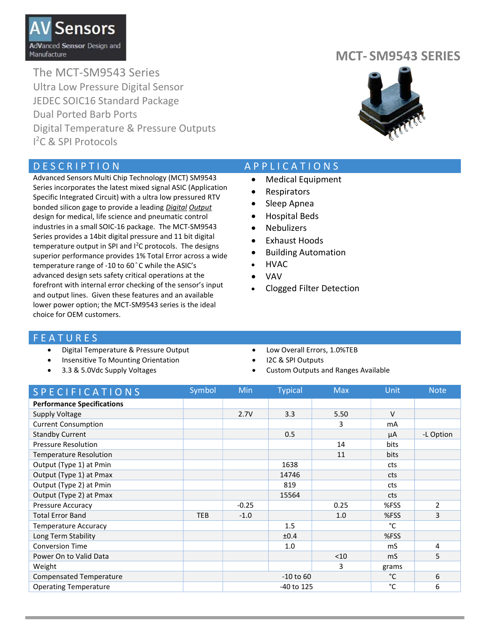

The MCT-SM9543 Series Ultra Low Pressure Digital Sensor JEDEC SOIC16 Standard Package Dual Ported Barb Ports Digital Temperature & Pressure Outputs I <sup>2</sup>C & SPI Protocols

Advanced Sensors Multi Chip Technology (MCT) SM9543 Series incorporates the latest mixed signal ASIC (Application Specific Integrated Circuit) with a ultra low pressured RTV bonded silicon gage to provide a leading Digital Output design for medical, life science and pneumatic control industries in a small SOIC-16 package. The MCT-SM9543 Series provides a 14bit digital pressure and 11 bit digital temperature output in SPI and  $I^2C$  protocols. The designs superior performance provides 1% Total Error across a wide temperature range of -10 to 60°C while the ASIC's advanced design sets safety critical operations at the forefront with internal error checking of the sensor's input and output lines. Given these features and an available lower power option; the MCT-SM9543 series is the ideal choice for OEM customers.

### MCT- SM9543 SERIES



#### D E S C R I P T I O N A P P LICATIONS

- Medical Equipment
- Respirators
- Sleep Apnea
- Hospital Beds
- Nebulizers
- Exhaust Hoods
- Building Automation
- HVAC
- VAV
- Clogged Filter Detection

#### **FEATURES**

- Digital Temperature & Pressure Output
- Insensitive To Mounting Orientation
- 3.3 & 5.0Vdc Supply Voltages
- Low Overall Errors, 1.0%TEB
- I2C & SPI Outputs
- Custom Outputs and Ranges Available

| <b>SPECIFICATIONS</b>             | Symbol     | Min           | <b>Typical</b> | <b>Max</b> | Unit   | <b>Note</b>   |
|-----------------------------------|------------|---------------|----------------|------------|--------|---------------|
| <b>Performance Specifications</b> |            |               |                |            |        |               |
| Supply Voltage                    |            | 2.7V          | 3.3            | 5.50       | $\vee$ |               |
| <b>Current Consumption</b>        |            |               |                | 3          | mA     |               |
| <b>Standby Current</b>            |            |               | 0.5            |            | μA     | -L Option     |
| <b>Pressure Resolution</b>        |            |               |                | 14         | bits   |               |
| <b>Temperature Resolution</b>     |            |               |                | 11         | bits   |               |
| Output (Type 1) at Pmin           |            |               | 1638           |            | cts    |               |
| Output (Type 1) at Pmax           |            |               | 14746          |            | cts    |               |
| Output (Type 2) at Pmin           |            |               | 819            |            | cts    |               |
| Output (Type 2) at Pmax           |            |               | 15564          |            | cts    |               |
| <b>Pressure Accuracy</b>          |            | $-0.25$       |                | 0.25       | %FSS   | $\mathcal{P}$ |
| <b>Total Error Band</b>           | <b>TEB</b> | $-1.0$        |                | 1.0        | %FSS   | 3             |
| <b>Temperature Accuracy</b>       |            |               | 1.5            |            | °C     |               |
| Long Term Stability               |            |               | ±0.4           |            | %FSS   |               |
| <b>Conversion Time</b>            |            |               | 1.0            |            | mS     | 4             |
| Power On to Valid Data            |            |               |                | $<$ 10     | mS     | 5             |
| Weight                            |            |               |                | 3          | grams  |               |
| <b>Compensated Temperature</b>    |            | $-10$ to $60$ |                |            | °C     | 6             |
| <b>Operating Temperature</b>      |            | -40 to 125    |                |            | °C     | 6             |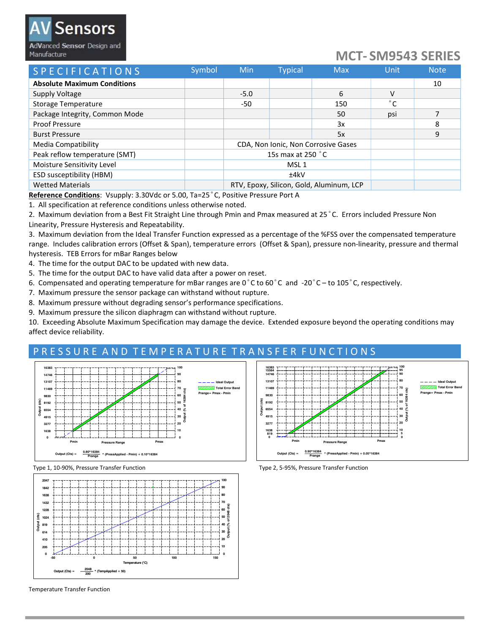## Sensors AdVanced Sensor Design and

Manufacture

# MCT- SM9543 SERIES

| <b>SPECIFICATIONS</b>              | Symbol | <b>Min</b>                          | <b>Typical</b>                           | <b>Max</b> | Unit           | <b>Note</b> |
|------------------------------------|--------|-------------------------------------|------------------------------------------|------------|----------------|-------------|
| <b>Absolute Maximum Conditions</b> |        |                                     |                                          |            |                | 10          |
| Supply Voltage                     |        | $-5.0$                              |                                          | 6          | v              |             |
| <b>Storage Temperature</b>         |        | -50                                 |                                          | 150        | $\circ$ $\sim$ |             |
| Package Integrity, Common Mode     |        |                                     |                                          | 50         | psi            |             |
| <b>Proof Pressure</b>              |        |                                     |                                          | 3x         |                | 8           |
| <b>Burst Pressure</b>              |        |                                     |                                          | 5x         |                | 9           |
| Media Compatibility                |        | CDA, Non Ionic, Non Corrosive Gases |                                          |            |                |             |
| Peak reflow temperature (SMT)      |        | 15s max at 250 °C                   |                                          |            |                |             |
| Moisture Sensitivity Level         |        | MSL <sub>1</sub>                    |                                          |            |                |             |
| ESD susceptibility (HBM)           |        | ±4kV                                |                                          |            |                |             |
| <b>Wetted Materials</b>            |        |                                     | RTV, Epoxy, Silicon, Gold, Aluminum, LCP |            |                |             |

Reference Conditions: Vsupply: 3.30Vdc or 5.00, Ta=25°C, Positive Pressure Port A

1. All specification at reference conditions unless otherwise noted.

2. Maximum deviation from a Best Fit Straight Line through Pmin and Pmax measured at 25°C. Errors included Pressure Non Linearity, Pressure Hysteresis and Repeatability.

3. Maximum deviation from the Ideal Transfer Function expressed as a percentage of the %FSS over the compensated temperature range. Includes calibration errors (Offset & Span), temperature errors (Offset & Span), pressure non-linearity, pressure and thermal hysteresis. TEB Errors for mBar Ranges below

4. The time for the output DAC to be updated with new data.

- 5. The time for the output DAC to have valid data after a power on reset.
- 6. Compensated and operating temperature for mBar ranges are  $0^{\circ}$ C to  $60^{\circ}$ C and -20 $^{\circ}$ C to 105 $^{\circ}$ C, respectively.
- 7. Maximum pressure the sensor package can withstand without rupture.
- 8. Maximum pressure without degrading sensor's performance specifications.
- 9. Maximum pressure the silicon diaphragm can withstand without rupture.

10. Exceeding Absolute Maximum Specification may damage the device. Extended exposure beyond the operating conditions may affect device reliability.

#### PRESSURE AND TEMPERATURE TRANSFER FUNCTIONS





Type 1, 10-90%, Pressure Transfer Function Type 2, 5-95%, Pressure Transfer Function



Temperature Transfer Function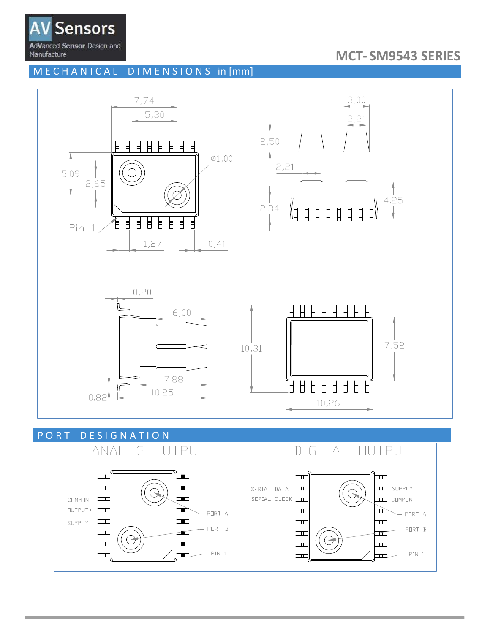

## **MCT-SM9543 SERIES**

MECHANICAL DIMENSIONS in [mm]